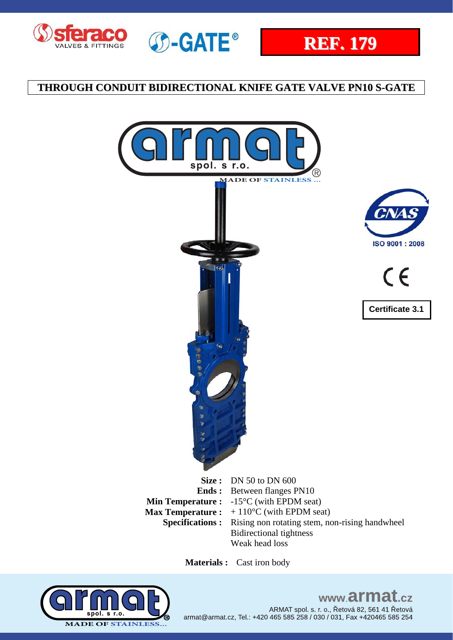









 $\epsilon$ **Certificate 3.1** 

**Specifications :** Rising non rotating stem, non-rising handwheel Bidirectional tightness Weak head loss

 **Materials :** Cast iron body



www.armat.cz ARMAT spol. s. r. o., Řetová 82, 561 41 Řetová armat@armat.cz, Tel.: +420 465 585 258 / 030 / 031, Fax +420465 585 254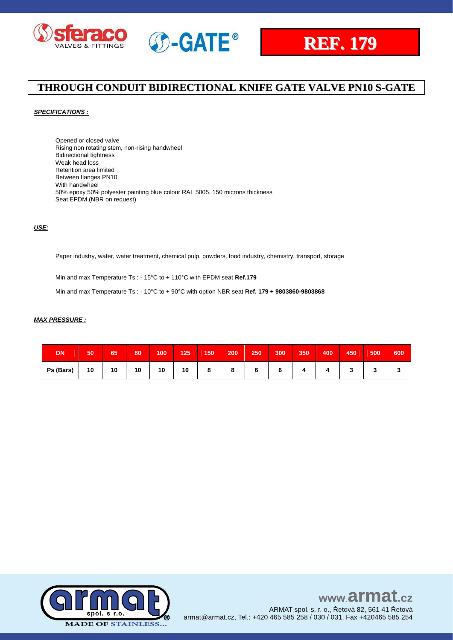



### *SPECIFICATIONS :*

Opened or closed valve Rising non rotating stem, non-rising handwheel Bidirectional tightness Weak head loss Retention area limited Between flanges PN10 With handwheel 50% epoxy 50% polyester painting blue colour RAL 5005, 150 microns thickness Seat EPDM (NBR on request)

### *USE:*

Paper industry, water, water treatment, chemical pulp, powders, food industry, chemistry, transport, storage

Min and max Temperature Ts : - 15°C to + 110°C with EPDM seat **Ref.179**

Min and max Temperature Ts : - 10°C to + 90°C with option NBR seat **Ref. 179 + 9803860-9803868**

#### *MAX PRESSURE :*

| DN        | 50 | 65 | 80 | 100 | 125 | 150       | 200            | 250 | 300 | 350' | 400 | 450 | 500 | 600 |
|-----------|----|----|----|-----|-----|-----------|----------------|-----|-----|------|-----|-----|-----|-----|
| Ps (Bars) | 10 | 10 | 10 | 10  | 10  | $\bullet$ | $\bullet$<br>o |     |     |      |     |     |     |     |

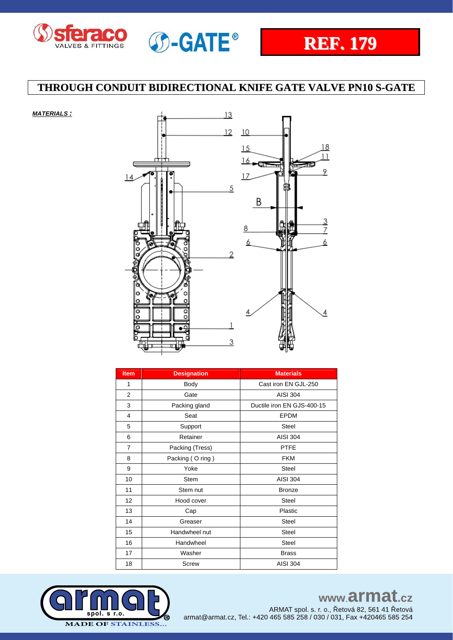

*MATERIALS :*



## **THROUGH CONDUIT BIDIRECTIONAL KNIFE GATE VALVE PN10 S-GATE**



| <b>Item</b>    | <b>Designation</b> | <b>Materials</b>           |
|----------------|--------------------|----------------------------|
| 1              | Body               | Cast iron EN GJL-250       |
| $\overline{2}$ | Gate               | <b>AISI 304</b>            |
| 3              | Packing gland      | Ductile iron EN GJS-400-15 |
| 4              | Seat               | <b>EPDM</b>                |
| 5              | Support            | <b>Steel</b>               |
| 6              | Retainer           | <b>AISI 304</b>            |
| $\overline{7}$ | Packing (Tress)    | <b>PTFE</b>                |
| 8              | Packing (O ring)   | <b>FKM</b>                 |
| 9              | Yoke               | Steel                      |
| 10             | <b>Stem</b>        | <b>AISI 304</b>            |
| 11             | Stem nut           | <b>Bronze</b>              |
| 12             | Hood cover         | Steel                      |
| 13             | Cap                | Plastic                    |
| 14             | Greaser            | <b>Steel</b>               |
| 15             | Handwheel nut      | <b>Steel</b>               |
| 16             | Handwheel          | <b>Steel</b>               |
| 17             | Washer             | <b>Brass</b>               |
| 18             | Screw              | <b>AISI 304</b>            |



## www.armat.cz

ARMAT spol. s. r. o., Řetová 82, 561 41 Řetová armat@armat.cz, Tel.: +420 465 585 258 / 030 / 031, Fax +420465 585 254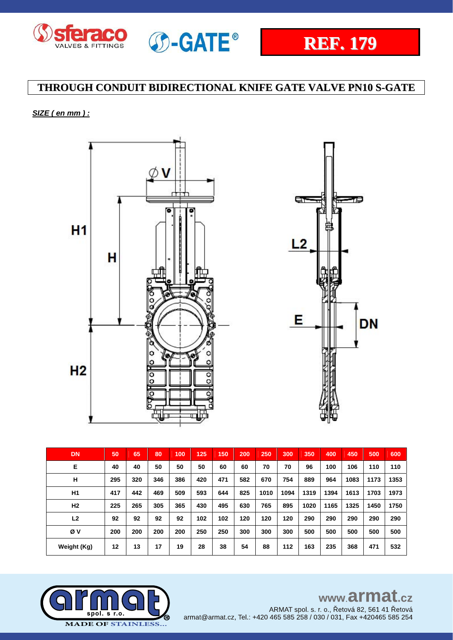



- 6

**DN** 

## **THROUGH CONDUIT BIDIRECTIONAL KNIFE GATE VALVE PN10 S-GATE**

### *SIZE ( en mm ) :*



| <b>DN</b>      | 50  | 65  | 80  | 100 | 125 | 150 | 200 | 250  | 300  | 350  | 400  | 450  | 500  | 600  |
|----------------|-----|-----|-----|-----|-----|-----|-----|------|------|------|------|------|------|------|
| E              | 40  | 40  | 50  | 50  | 50  | 60  | 60  | 70   | 70   | 96   | 100  | 106  | 110  | 110  |
| н              | 295 | 320 | 346 | 386 | 420 | 471 | 582 | 670  | 754  | 889  | 964  | 1083 | 1173 | 1353 |
| H <sub>1</sub> | 417 | 442 | 469 | 509 | 593 | 644 | 825 | 1010 | 1094 | 1319 | 1394 | 1613 | 1703 | 1973 |
| H <sub>2</sub> | 225 | 265 | 305 | 365 | 430 | 495 | 630 | 765  | 895  | 1020 | 1165 | 1325 | 1450 | 1750 |
| L <sub>2</sub> | 92  | 92  | 92  | 92  | 102 | 102 | 120 | 120  | 120  | 290  | 290  | 290  | 290  | 290  |
| Øν             | 200 | 200 | 200 | 200 | 250 | 250 | 300 | 300  | 300  | 500  | 500  | 500  | 500  | 500  |
| Weight (Kg)    | 12  | 13  | 17  | 19  | 28  | 38  | 54  | 88   | 112  | 163  | 235  | 368  | 471  | 532  |



ARMAT spol. s. r. o., Řetová 82, 561 41 Řetová armat@armat.cz, Tel.: +420 465 585 258 / 030 / 031, Fax +420465 585 254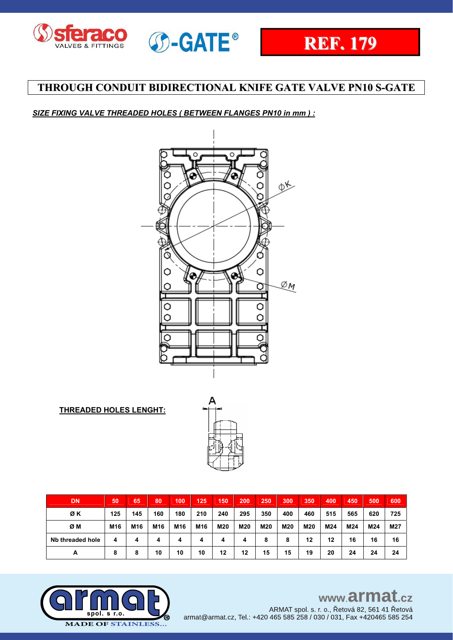



### *SIZE FIXING VALVE THREADED HOLES ( BETWEEN FLANGES PN10 in mm ) :*



**THREADED HOLES LENGHT:**



| DN               | 50  | 65              | 80              | 100 | 125 | 150 | 200 | 250 | 300 | 350 | 400 | 450 | 500 | 600 |
|------------------|-----|-----------------|-----------------|-----|-----|-----|-----|-----|-----|-----|-----|-----|-----|-----|
| ØΚ               | 125 | 145             | 160             | 180 | 210 | 240 | 295 | 350 | 400 | 460 | 515 | 565 | 620 | 725 |
| ØΜ               | M16 | M <sub>16</sub> | M <sub>16</sub> | M16 | M16 | M20 | M20 | M20 | M20 | M20 | M24 | M24 | M24 | M27 |
| Nb threaded hole | 4   | 4               | 4               | 4   | 4   | 4   | 4   | 8   | 8   | 12  | 12  | 16  | 16  | 16  |
| A                | 8   | 8               | 10              | 10  | 10  | 12  | 12  | 15  | 15  | 19  | 20  | 24  | 24  | 24  |



# www.armat.cz

ARMAT spol. s. r. o., Řetová 82, 561 41 Řetová armat@armat.cz, Tel.: +420 465 585 258 / 030 / 031, Fax +420465 585 254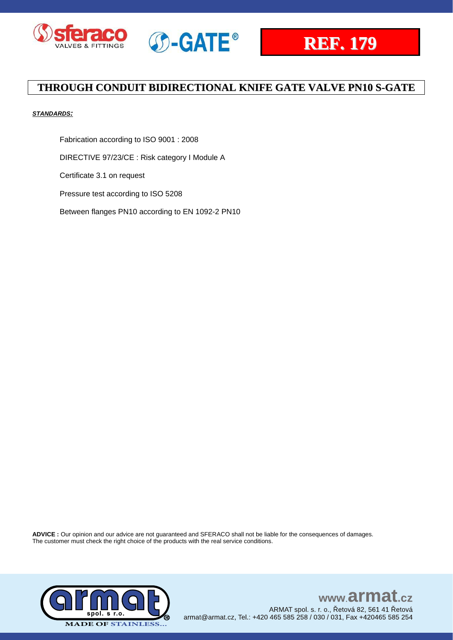





### *STANDARDS:*

Fabrication according to ISO 9001 : 2008

DIRECTIVE 97/23/CE : Risk category I Module A

Certificate 3.1 on request

Pressure test according to ISO 5208

Between flanges PN10 according to EN 1092-2 PN10

**ADVICE :** Our opinion and our advice are not guaranteed and SFERACO shall not be liable for the consequences of damages. The customer must check the right choice of the products with the real service conditions.



### www.armat.  $c\overline{z}$ ARMAT spol. s. r. o., Řetová 82, 561 41 Řetová armat@armat.cz, Tel.: +420 465 585 258 / 030 / 031, Fax +420465 585 254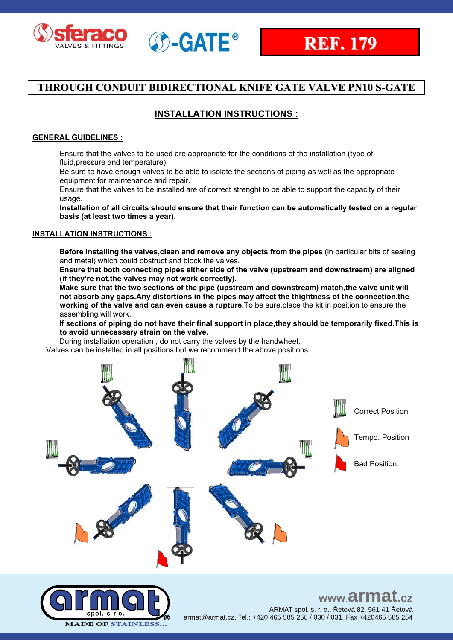



### **INSTALLATION INSTRUCTIONS :**

### **GENERAL GUIDELINES :**

Ensure that the valves to be used are appropriate for the conditions of the installation (type of fluid,pressure and temperature).

Be sure to have enough valves to be able to isolate the sections of piping as well as the appropriate equipment for maintenance and repair.

Ensure that the valves to be installed are of correct strenght to be able to support the capacity of their usage.

**Installation of all circuits should ensure that their function can be automatically tested on a regular basis (at least two times a year).**

### **INSTALLATION INSTRUCTIONS :**

**Before installing the valves,clean and remove any objects from the pipes** (in particular bits of sealing and metal) which could obstruct and block the valves.

**Ensure that both connecting pipes either side of the valve (upstream and downstream) are aligned (if they're not,the valves may not work correctly).**

**Make sure that the two sections of the pipe (upstream and downstream) match,the valve unit will not absorb any gaps.Any distortions in the pipes may affect the thightness of the connection,the working of the valve and can even cause a rupture.**To be sure,place the kit in position to ensure the assembling will work.

**If sections of piping do not have their final support in place,they should be temporarily fixed.This is to avoid unnecessary strain on the valve.**

During installation operation , do not carry the valves by the handwheel.

Valves can be installed in all positions but we recommend the above positions





www.armat.cz ARMAT spol. s. r. o., Řetová 82, 561 41 Řetová armat@armat.cz, Tel.: +420 465 585 258 / 030 / 031, Fax +420465 585 254